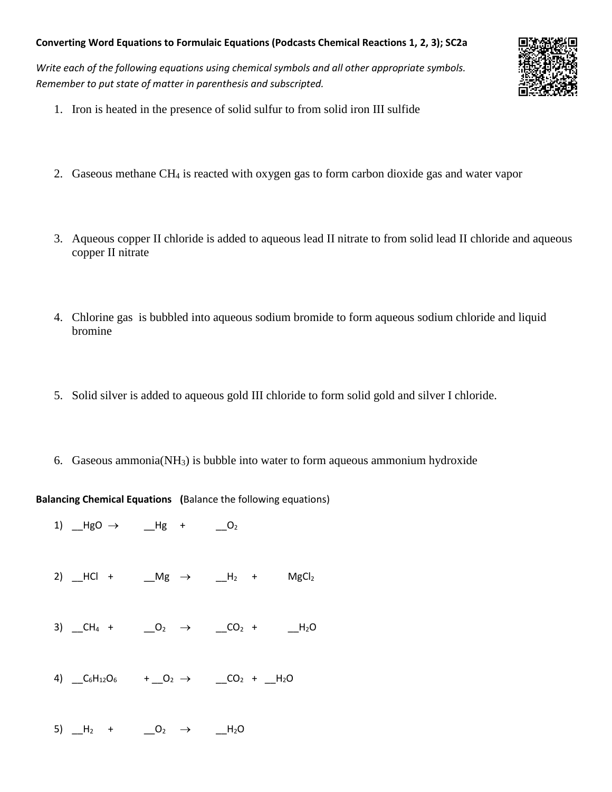## **Converting Word Equations to Formulaic Equations (Podcasts Chemical Reactions 1, 2, 3); SC2a**

*Write each of the following equations using chemical symbols and all other appropriate symbols. Remember to put state of matter in parenthesis and subscripted.*



- 1. Iron is heated in the presence of solid sulfur to from solid iron III sulfide
- 2. Gaseous methane CH<sup>4</sup> is reacted with oxygen gas to form carbon dioxide gas and water vapor
- 3. Aqueous copper II chloride is added to aqueous lead II nitrate to from solid lead II chloride and aqueous copper II nitrate
- 4. Chlorine gas is bubbled into aqueous sodium bromide to form aqueous sodium chloride and liquid bromine
- 5. Solid silver is added to aqueous gold III chloride to form solid gold and silver I chloride.
- 6. Gaseous ammonia(NH3) is bubble into water to form aqueous ammonium hydroxide

**Balancing Chemical Equations (**Balance the following equations)

1)  $HgO \rightarrow Hg + O_2$ 2)  $-HCl +$   $Mg \rightarrow$   $H_2 +$   $MgCl_2$ 3)  $CH_4 +$   $O_2 \rightarrow$   $CO_2 +$   $-H_2O$ 4)  $C_6H_{12}O_6$  +  $O_2$   $\rightarrow$   $CO_2$  +  $H_2O$ 5)  $-H_2$  +  $0_2$   $\rightarrow$   $-H_2O$